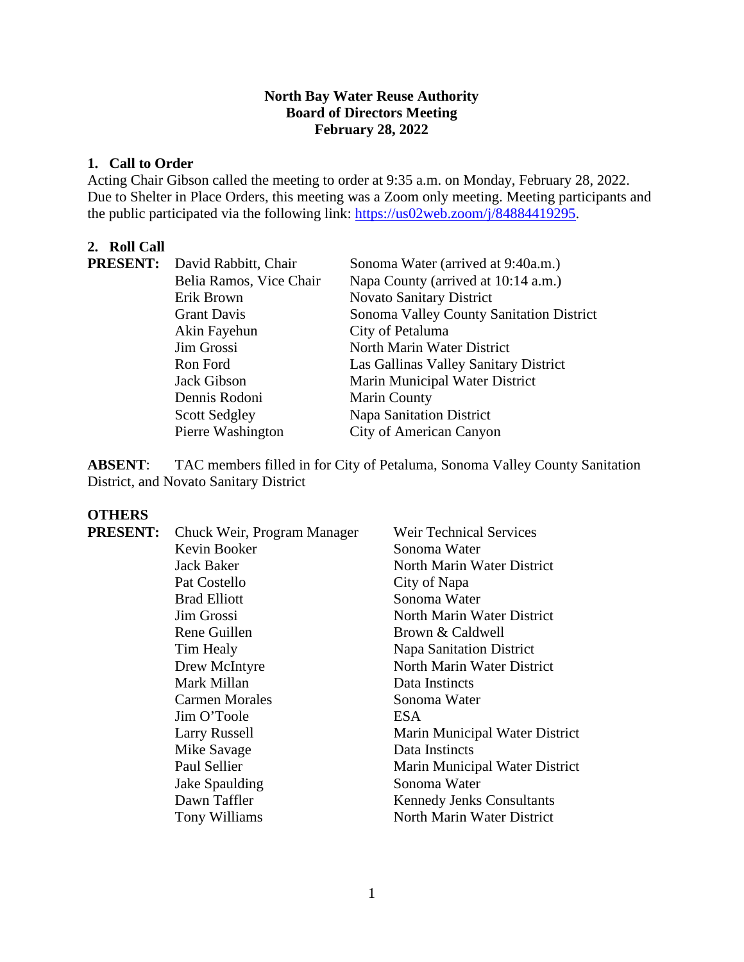## **North Bay Water Reuse Authority Board of Directors Meeting February 28, 2022**

### **1. Call to Order**

Acting Chair Gibson called the meeting to order at 9:35 a.m. on Monday, February 28, 2022. Due to Shelter in Place Orders, this meeting was a Zoom only meeting. Meeting participants and the public participated via the following link: [https://us02web.zoom/j/84884419295.](https://us02web.zoom/j/84884419295)

# **2. Roll Call**

|  | <b>PRESENT:</b> David Rabbitt, Chair | Sonoma Water (arrived at 9:40a.m.)       |
|--|--------------------------------------|------------------------------------------|
|  | Belia Ramos, Vice Chair              | Napa County (arrived at 10:14 a.m.)      |
|  | Erik Brown                           | <b>Novato Sanitary District</b>          |
|  | <b>Grant Davis</b>                   | Sonoma Valley County Sanitation District |
|  | Akin Fayehun                         | City of Petaluma                         |
|  | Jim Grossi                           | North Marin Water District               |
|  | Ron Ford                             | Las Gallinas Valley Sanitary District    |
|  | Jack Gibson                          | Marin Municipal Water District           |
|  | Dennis Rodoni                        | <b>Marin County</b>                      |
|  | <b>Scott Sedgley</b>                 | <b>Napa Sanitation District</b>          |
|  | Pierre Washington                    | City of American Canyon                  |

**ABSENT**: TAC members filled in for City of Petaluma, Sonoma Valley County Sanitation District, and Novato Sanitary District

# **OTHERS**

| <b>PRESENT:</b> | Chuck Weir, Program Manager | <b>Weir Technical Services</b>   |
|-----------------|-----------------------------|----------------------------------|
|                 | Kevin Booker                | Sonoma Water                     |
|                 | Jack Baker                  | North Marin Water District       |
|                 | Pat Costello                | City of Napa                     |
|                 | <b>Brad Elliott</b>         | Sonoma Water                     |
|                 | Jim Grossi                  | North Marin Water District       |
|                 | Rene Guillen                | Brown & Caldwell                 |
|                 | Tim Healy                   | Napa Sanitation District         |
|                 | Drew McIntyre               | North Marin Water District       |
|                 | Mark Millan                 | Data Instincts                   |
|                 | Carmen Morales              | Sonoma Water                     |
|                 | Jim O'Toole                 | ESA.                             |
|                 | Larry Russell               | Marin Municipal Water District   |
|                 | Mike Savage                 | Data Instincts                   |
|                 | Paul Sellier                | Marin Municipal Water District   |
|                 | Jake Spaulding              | Sonoma Water                     |
|                 | Dawn Taffler                | <b>Kennedy Jenks Consultants</b> |
|                 | Tony Williams               | North Marin Water District       |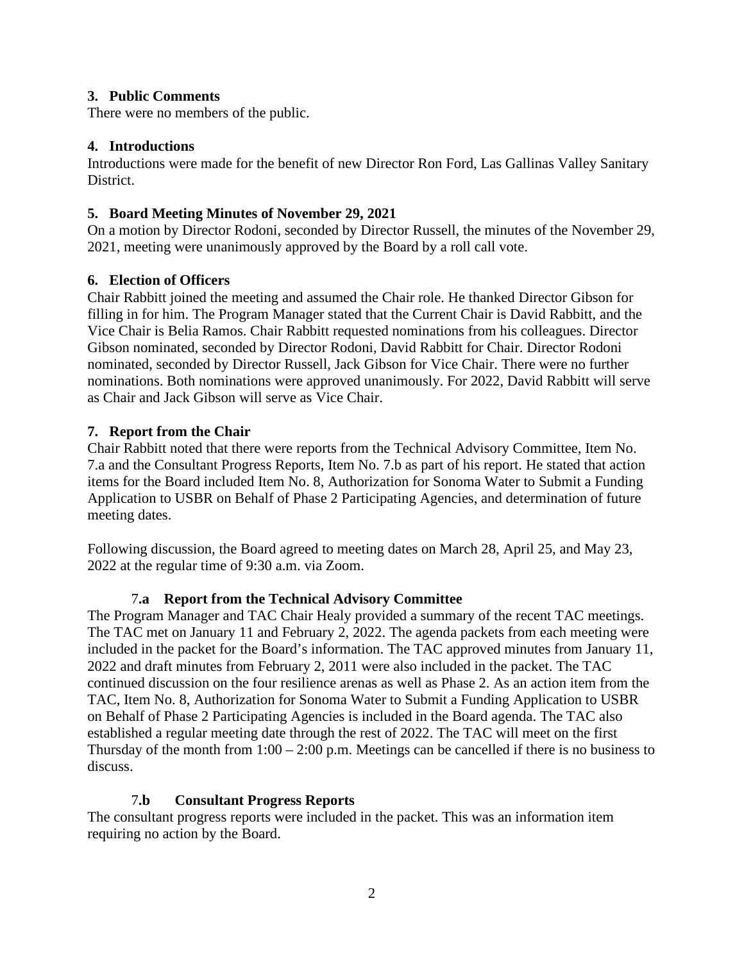### **3. Public Comments**

There were no members of the public.

### **4. Introductions**

 Introductions were made for the benefit of new Director Ron Ford, Las Gallinas Valley Sanitary District.

# **5. Board Meeting Minutes of November 29, 2021**

On a motion by Director Rodoni, seconded by Director Russell, the minutes of the November 29, 2021, meeting were unanimously approved by the Board by a roll call vote.

### **6. Election of Officers**

Chair Rabbitt joined the meeting and assumed the Chair role. He thanked Director Gibson for filling in for him. The Program Manager stated that the Current Chair is David Rabbitt, and the Vice Chair is Belia Ramos. Chair Rabbitt requested nominations from his colleagues. Director Gibson nominated, seconded by Director Rodoni, David Rabbitt for Chair. Director Rodoni nominated, seconded by Director Russell, Jack Gibson for Vice Chair. There were no further nominations. Both nominations were approved unanimously. For 2022, David Rabbitt will serve as Chair and Jack Gibson will serve as Vice Chair.

# **7. Report from the Chair**

Chair Rabbitt noted that there were reports from the Technical Advisory Committee, Item No. 7.a and the Consultant Progress Reports, Item No. 7.b as part of his report. He stated that action items for the Board included Item No. 8, Authorization for Sonoma Water to Submit a Funding Application to USBR on Behalf of Phase 2 Participating Agencies, and determination of future meeting dates.

Following discussion, the Board agreed to meeting dates on March 28, April 25, and May 23, 2022 at the regular time of 9:30 a.m. via Zoom.

#### 7**.a Report from the Technical Advisory Committee**

 continued discussion on the four resilience arenas as well as Phase 2. As an action item from the The Program Manager and TAC Chair Healy provided a summary of the recent TAC meetings. The TAC met on January 11 and February 2, 2022. The agenda packets from each meeting were included in the packet for the Board's information. The TAC approved minutes from January 11, 2022 and draft minutes from February 2, 2011 were also included in the packet. The TAC TAC, Item No. 8, Authorization for Sonoma Water to Submit a Funding Application to USBR on Behalf of Phase 2 Participating Agencies is included in the Board agenda. The TAC also established a regular meeting date through the rest of 2022. The TAC will meet on the first Thursday of the month from  $1:00 - 2:00$  p.m. Meetings can be cancelled if there is no business to discuss.

#### 7**.b Consultant Progress Reports**

The consultant progress reports were included in the packet. This was an information item requiring no action by the Board.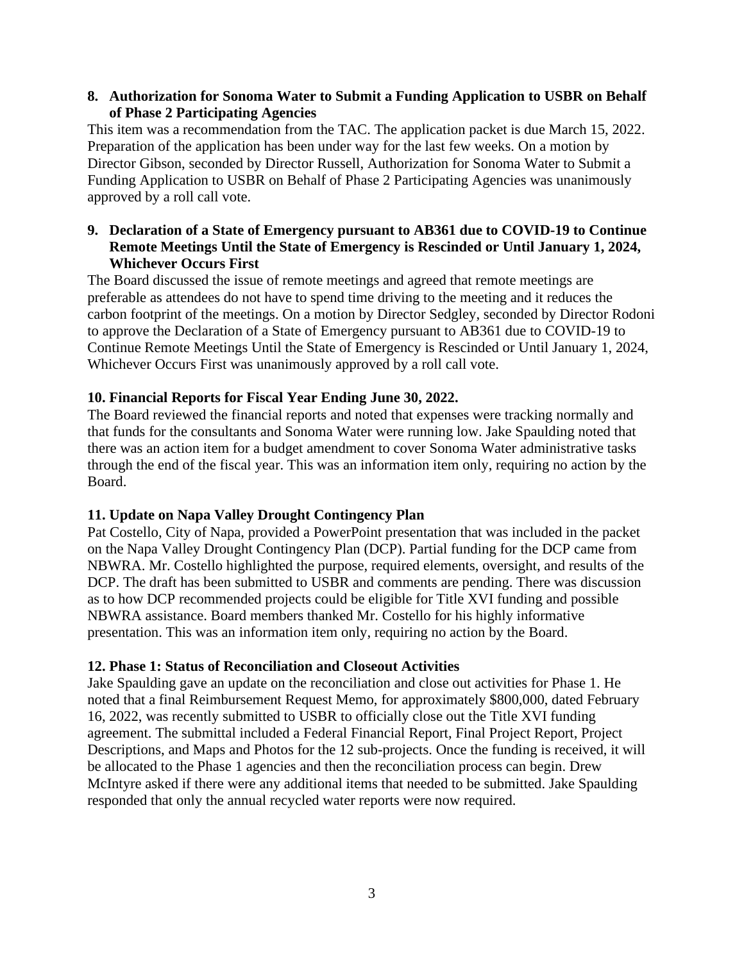### **8. Authorization for Sonoma Water to Submit a Funding Application to USBR on Behalf of Phase 2 Participating Agencies**

This item was a recommendation from the TAC. The application packet is due March 15, 2022. Preparation of the application has been under way for the last few weeks. On a motion by Director Gibson, seconded by Director Russell, Authorization for Sonoma Water to Submit a Funding Application to USBR on Behalf of Phase 2 Participating Agencies was unanimously approved by a roll call vote.

# **9. Declaration of a State of Emergency pursuant to AB361 due to COVID-19 to Continue Remote Meetings Until the State of Emergency is Rescinded or Until January 1, 2024, Whichever Occurs First**

The Board discussed the issue of remote meetings and agreed that remote meetings are preferable as attendees do not have to spend time driving to the meeting and it reduces the carbon footprint of the meetings. On a motion by Director Sedgley, seconded by Director Rodoni to approve the Declaration of a State of Emergency pursuant to AB361 due to COVID-19 to Continue Remote Meetings Until the State of Emergency is Rescinded or Until January 1, 2024, Whichever Occurs First was unanimously approved by a roll call vote.

### **10. Financial Reports for Fiscal Year Ending June 30, 2022.**

 that funds for the consultants and Sonoma Water were running low. Jake Spaulding noted that there was an action item for a budget amendment to cover Sonoma Water administrative tasks The Board reviewed the financial reports and noted that expenses were tracking normally and through the end of the fiscal year. This was an information item only, requiring no action by the Board.

#### **11. Update on Napa Valley Drought Contingency Plan**

Pat Costello, City of Napa, provided a PowerPoint presentation that was included in the packet on the Napa Valley Drought Contingency Plan (DCP). Partial funding for the DCP came from NBWRA. Mr. Costello highlighted the purpose, required elements, oversight, and results of the DCP. The draft has been submitted to USBR and comments are pending. There was discussion as to how DCP recommended projects could be eligible for Title XVI funding and possible NBWRA assistance. Board members thanked Mr. Costello for his highly informative presentation. This was an information item only, requiring no action by the Board.

# **12. Phase 1: Status of Reconciliation and Closeout Activities**

 be allocated to the Phase 1 agencies and then the reconciliation process can begin. Drew McIntyre asked if there were any additional items that needed to be submitted. Jake Spaulding Jake Spaulding gave an update on the reconciliation and close out activities for Phase 1. He noted that a final Reimbursement Request Memo, for approximately \$800,000, dated February 16, 2022, was recently submitted to USBR to officially close out the Title XVI funding agreement. The submittal included a Federal Financial Report, Final Project Report, Project Descriptions, and Maps and Photos for the 12 sub-projects. Once the funding is received, it will responded that only the annual recycled water reports were now required.